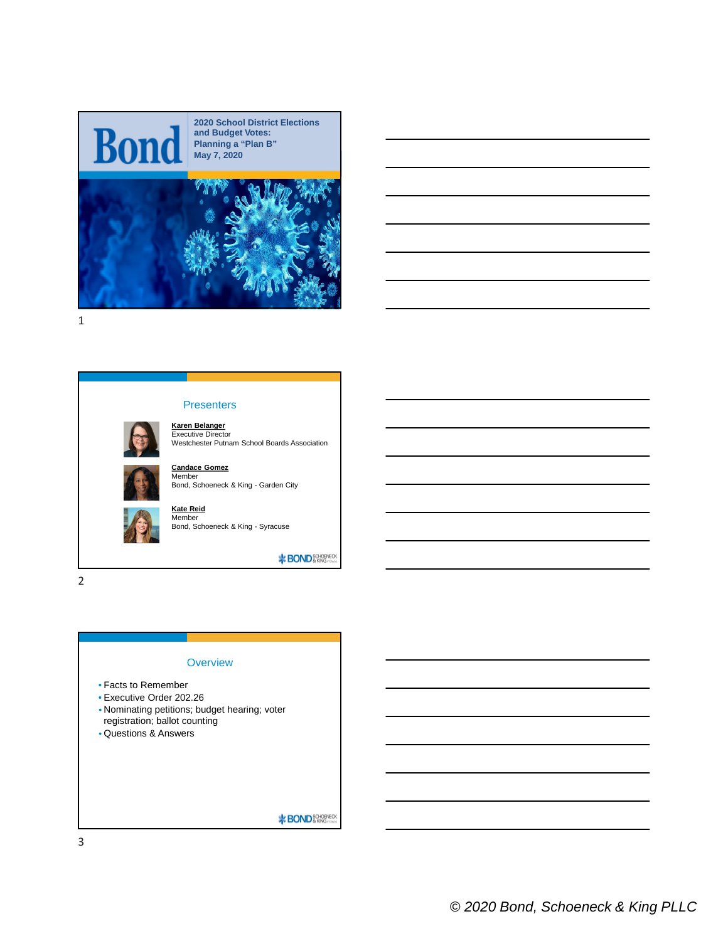

1

# Presenters

**Karen Belanger** Executive Director Westchester Putnam School Boards Association





**\*BOND** SCHOPVECK

2



3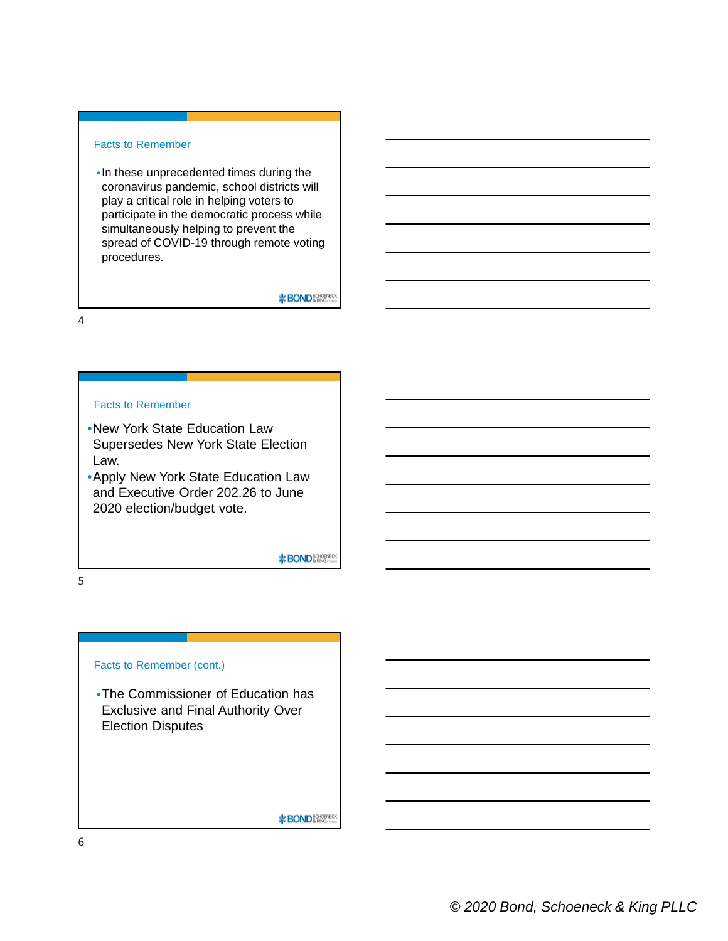# Facts to Remember

•In these unprecedented times during the coronavirus pandemic, school districts will play a critical role in helping voters to participate in the democratic process while simultaneously helping to prevent the spread of COVID-19 through remote voting procedures.

**\*BOND** SCHOPVECK

4

## Facts to Remember

- •New York State Education Law Supersedes New York State Election Law.
- •Apply New York State Education Law and Executive Order 202.26 to June 2020 election/budget vote.

**\*BOND** SCHOPYECK

5

## Facts to Remember (cont.)

•The Commissioner of Education has Exclusive and Final Authority Over Election Disputes

**\*BOND** SCHOOL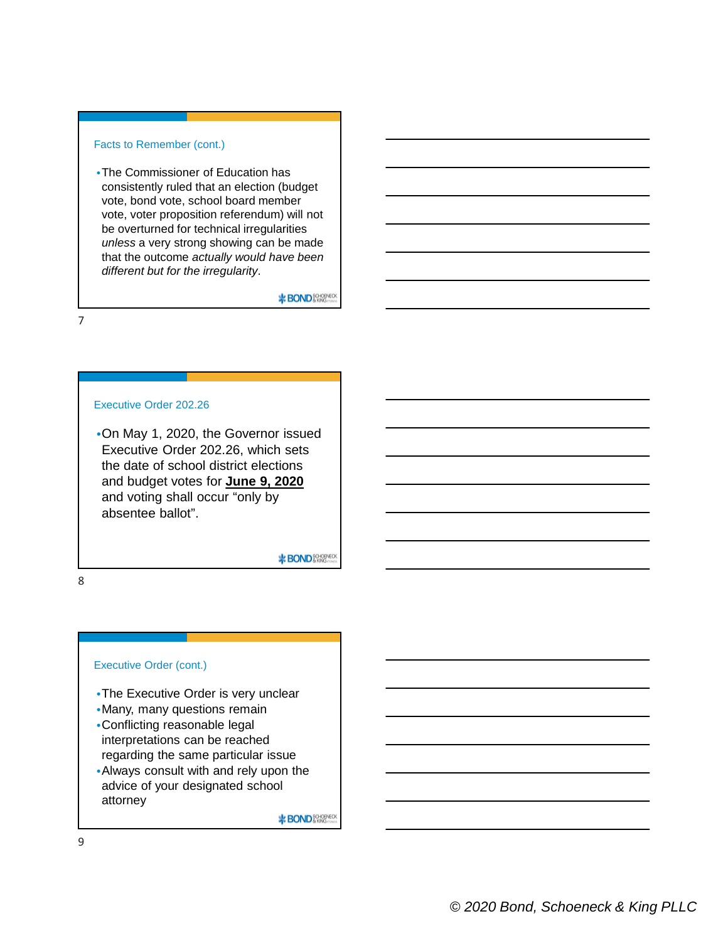# Facts to Remember (cont.)

•The Commissioner of Education has consistently ruled that an election (budget vote, bond vote, school board member vote, voter proposition referendum) will not be overturned for technical irregularities *unless* a very strong showing can be made that the outcome *actually would have been different but for the irregularity*.

**\*BOND**&RMSCOK

7

# Executive Order 202.26

•On May 1, 2020, the Governor issued Executive Order 202.26, which sets the date of school district elections and budget votes for **June 9, 2020** and voting shall occur "only by absentee ballot".

**\***BOND<sup>80H0PVECK</sub></sup>

8

#### Executive Order (cont.)

- •The Executive Order is very unclear
- •Many, many questions remain
- •Conflicting reasonable legal interpretations can be reached
- regarding the same particular issue •Always consult with and rely upon the advice of your designated school attorney

**\*BOND** SCHOOL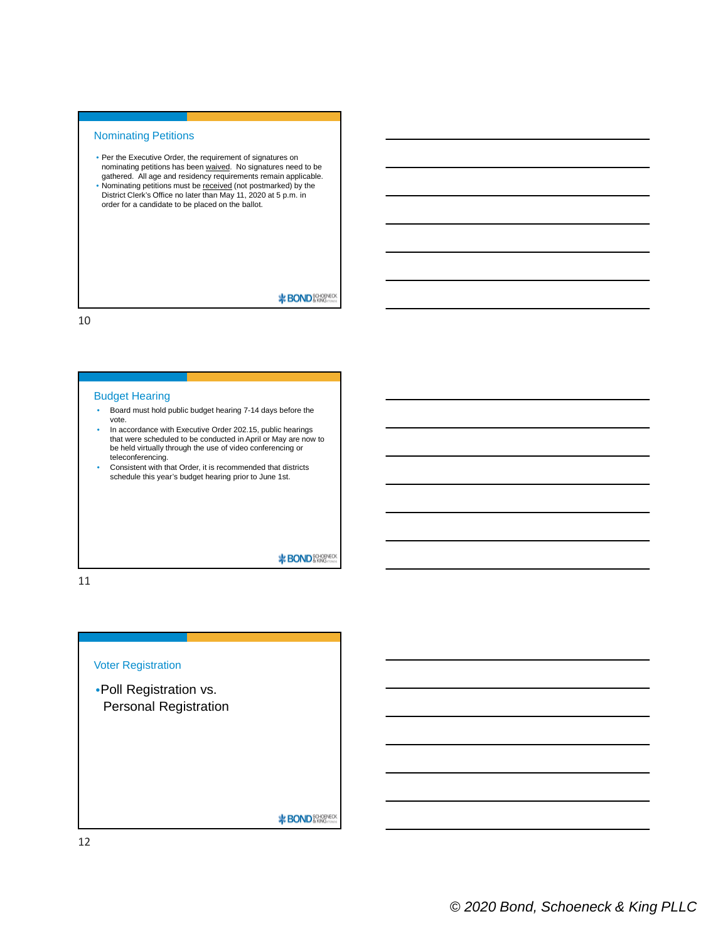#### Nominating Petitions

- Per the Executive Order, the requirement of signatures on nominating petitions has been <u>waived</u>. No signatures need to be<br>gathered. All age and residency requirements remain applicable. • Nominating petitions must be received (not postmarked) by the District Clerk's Office no later than May 11, 2020 at 5 p.m. in
- order for a candidate to be placed on the ballot.

**\***BOND<sup>8QHQBNECK</sup>

10

#### Budget Hearing

- Board must hold public budget hearing 7-14 days before the vote.
- In accordance with Executive Order 202.15, public hearings that were scheduled to be conducted in April or May are now to be held virtually through the use of video conferencing or teleconferencing.
- Consistent with that Order, it is recommended that districts schedule this year's budget hearing prior to June 1st.

**\*BOND**&RMS

11

# Voter Registration •Poll Registration vs. Personal Registration **\*BOND** SCHOPMED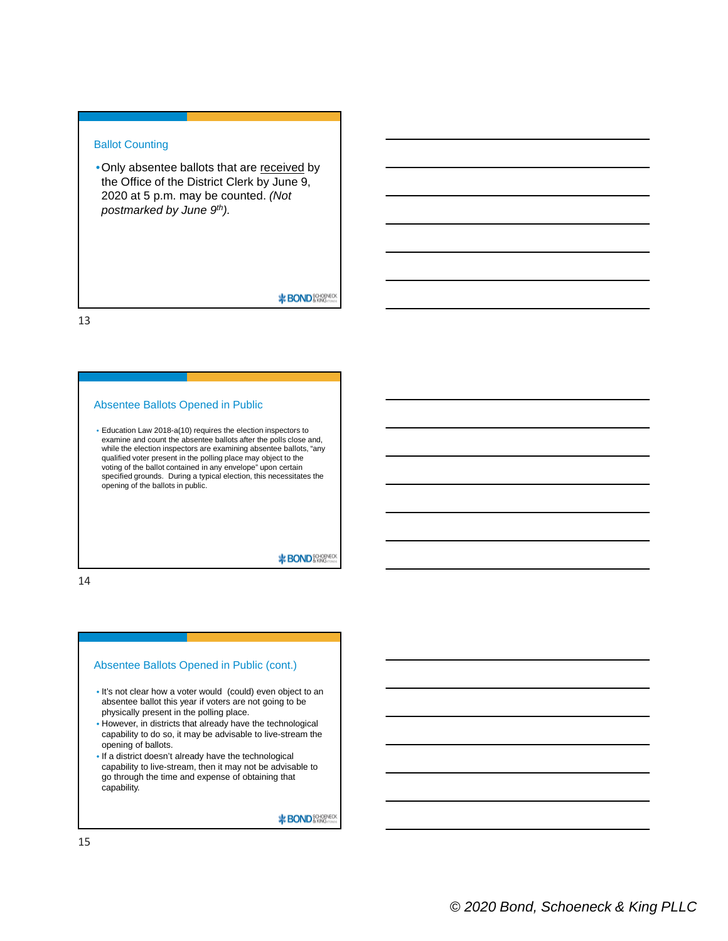# Ballot Counting

• Only absentee ballots that are received by the Office of the District Clerk by June 9, 2020 at 5 p.m. may be counted. *(Not postmarked by June 9th).*

**\***BOND<sup>8QHOBNECK</sub></sup>

13

# Absentee Ballots Opened in Public

• Education Law 2018-a(10) requires the election inspectors to examine and count the absentee ballots after the polls close and, while the election inspectors are examining absentee ballots, "any qualified voter present in the polling place may object to the voting of the ballot contained in any envelope" upon certain specified grounds. During a typical election, this necessitates the opening of the ballots in public.

**\***BOND**&** 

14

#### Absentee Ballots Opened in Public (cont.)

- It's not clear how a voter would (could) even object to an absentee ballot this year if voters are not going to be physically present in the polling place.
- However, in districts that already have the technological capability to do so, it may be advisable to live-stream the opening of ballots.
- If a district doesn't already have the technological capability to live-stream, then it may not be advisable to go through the time and expense of obtaining that capability.

**\*BOND** SCHOPHECK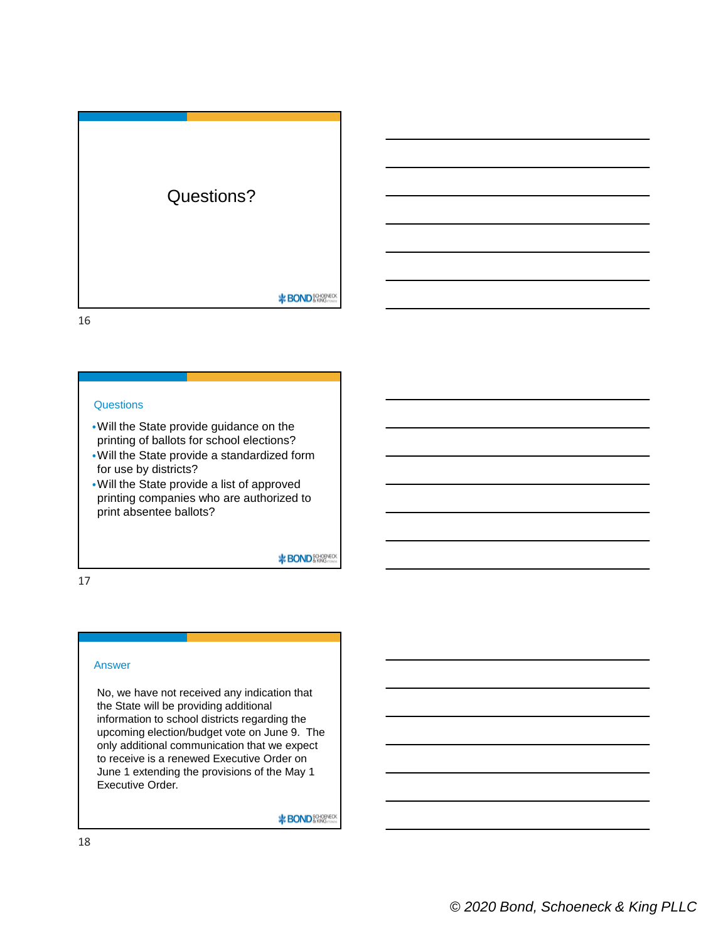

16

## **Questions**

- •Will the State provide guidance on the printing of ballots for school elections?
- •Will the State provide a standardized form for use by districts?
- •Will the State provide a list of approved printing companies who are authorized to print absentee ballots?

**\***BOND<sup>80H0PVECK</sub></sup>

17

#### Answer

No, we have not received any indication that the State will be providing additional information to school districts regarding the upcoming election/budget vote on June 9. The only additional communication that we expect to receive is a renewed Executive Order on June 1 extending the provisions of the May 1 Executive Order.

**\***BOND<sup>SCHOPVECK</sub></sup>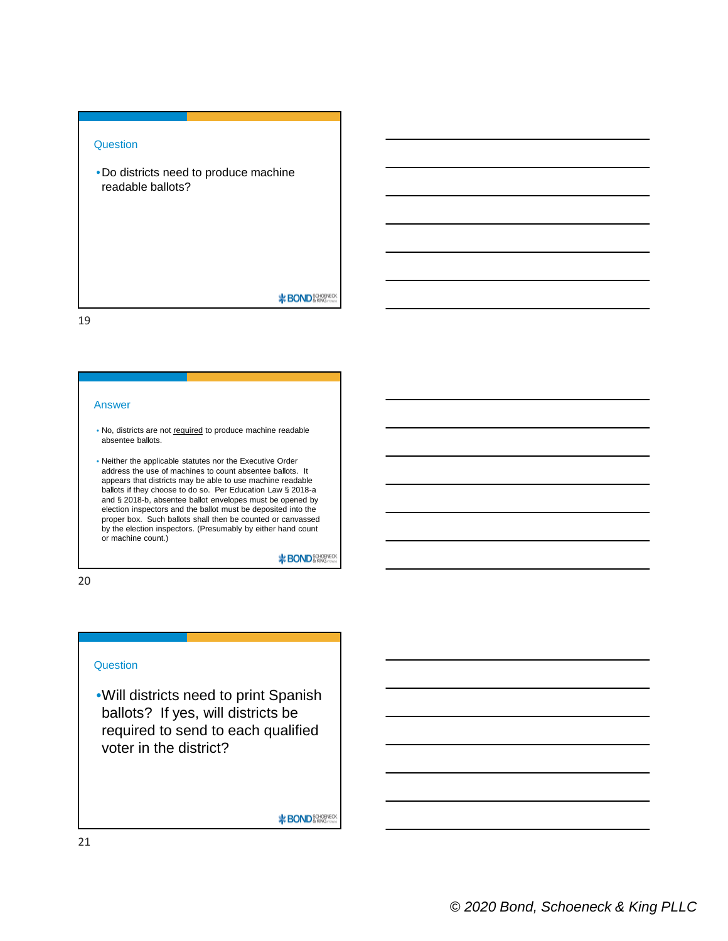## **Question**

•Do districts need to produce machine readable ballots?

**\***BOND<sup>8QHQBNECK</sup>

19

#### Answer

- No, districts are not required to produce machine readable absentee ballots.
- Neither the applicable statutes nor the Executive Order address the use of machines to count absentee ballots. It appears that districts may be able to use machine readable ballots if they choose to do so. Per Education Law § 2018-a and § 2018-b, absentee ballot envelopes must be opened by election inspectors and the ballot must be deposited into the proper box. Such ballots shall then be counted or canvassed by the election inspectors. (Presumably by either hand count or machine count.)

**\*BOND**&RMS

20

#### **Question**

•Will districts need to print Spanish ballots? If yes, will districts be required to send to each qualified voter in the district?

**\*BOND** SCHOPHECK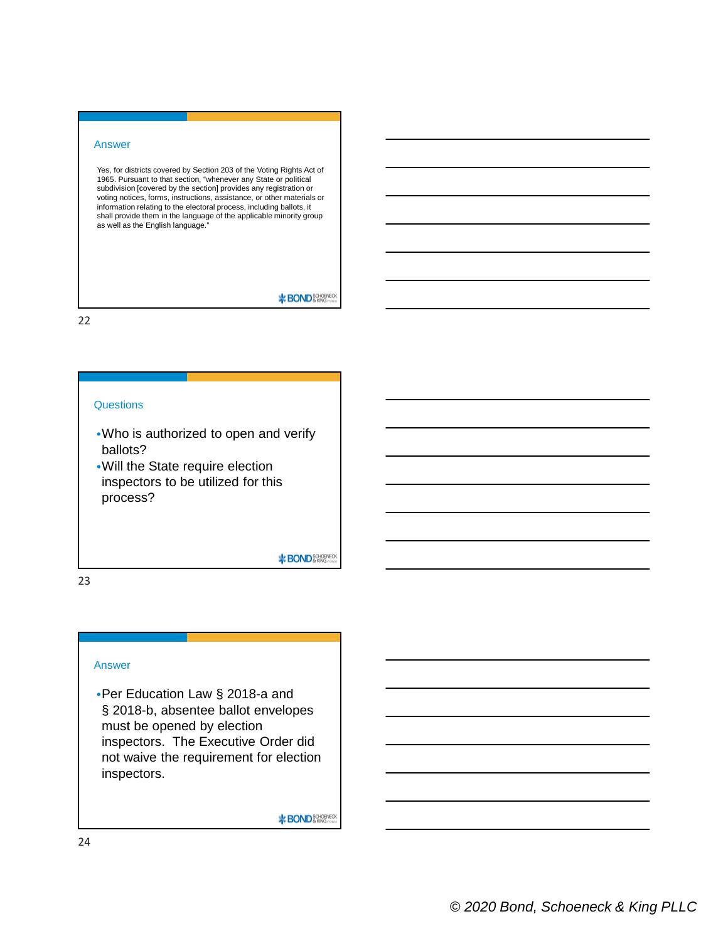#### Answer

Yes, for districts covered by Section 203 of the Voting Rights Act of 1965. Pursuant to that section, "whenever any State or political subdivision [covered by the section] provides any registration or voting notices, forms, instructions, assistance, or other materials or information relating to the electoral process, including ballots, it shall provide them in the language of the applicable minority group as well as the English language.

**\***BOND<sup>8QHOBNECK</sub></sup>

22

## **Questions**

- •Who is authorized to open and verify ballots?
- •Will the State require election inspectors to be utilized for this process?

**\***BOND**&** 

23

# Answer

•Per Education Law § 2018-a and § 2018-b, absentee ballot envelopes must be opened by election inspectors. The Executive Order did not waive the requirement for election inspectors.

**\*BOND** SCHOPHECK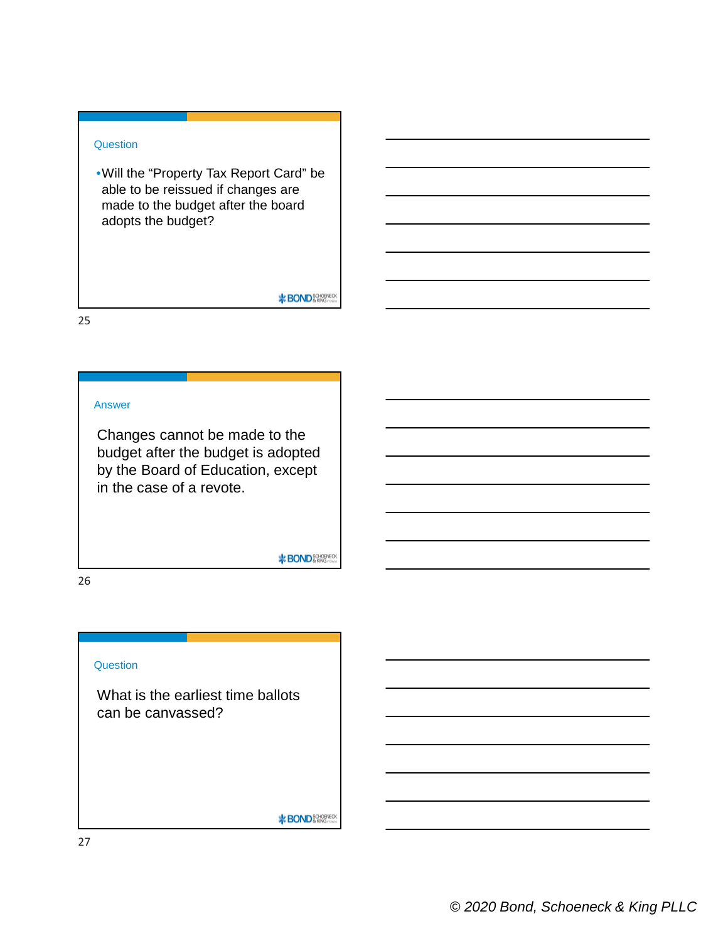# **Question**

•Will the "Property Tax Report Card" be able to be reissued if changes are made to the budget after the board adopts the budget?

**BOND** SCHOPVECK

25

# Answer

Changes cannot be made to the budget after the budget is adopted by the Board of Education, except in the case of a revote.

**\***BOND<sup>8QHOBNECK</sub></sup>

26

## **Question**

What is the earliest time ballots can be canvassed?

**\*BOND** SCHOPYECK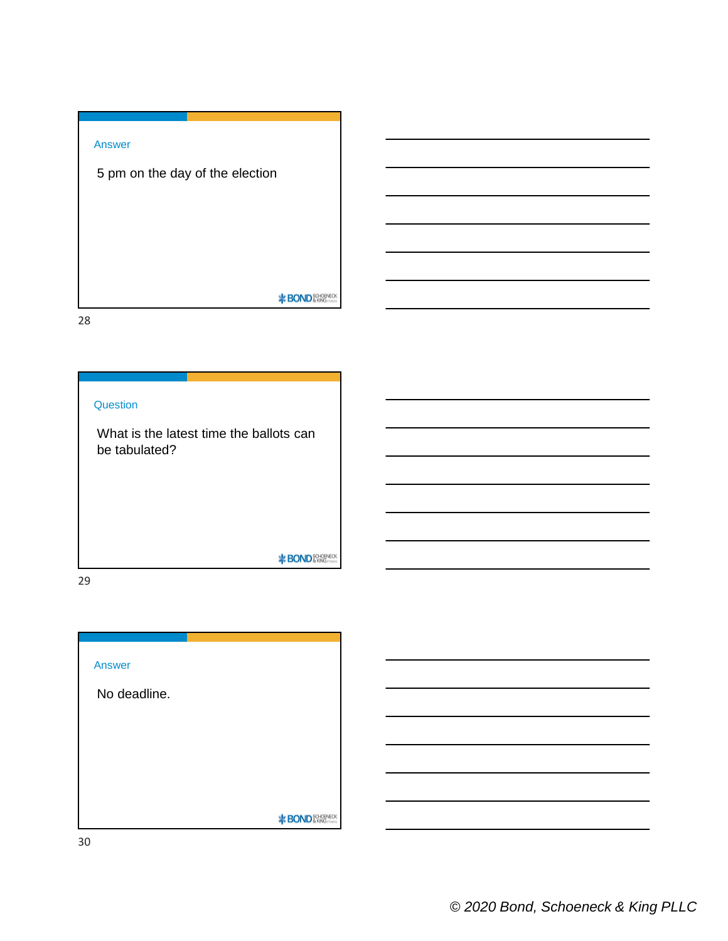# Answer

5 pm on the day of the election

**BOND** SCHOPVECK

28

# **Question**

What is the latest time the ballots can be tabulated?

**BOND** SCHOPVECK

29



30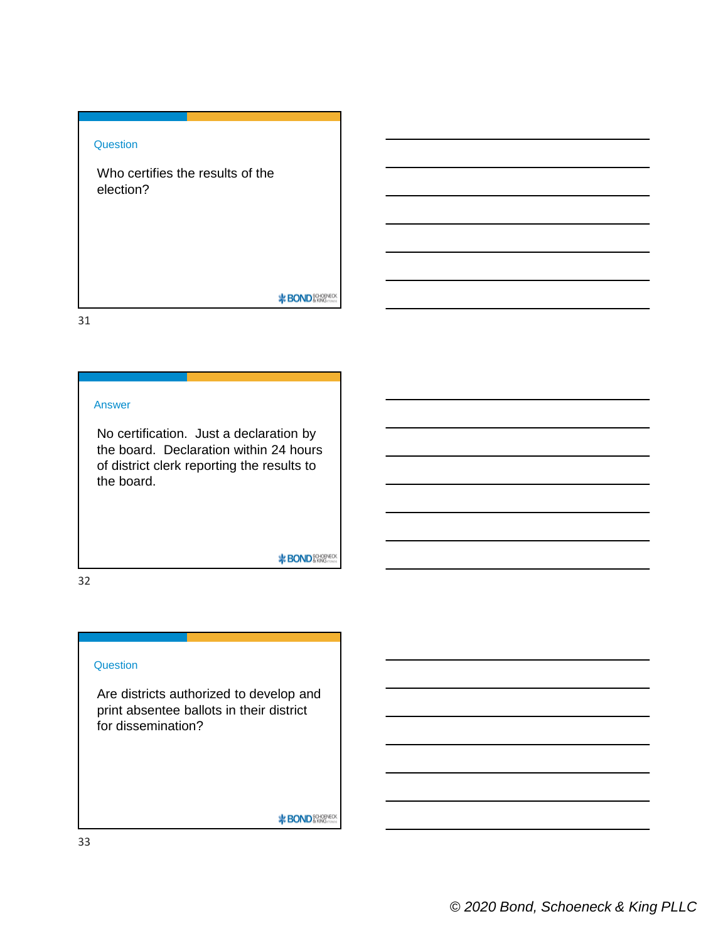# **Question**

Who certifies the results of the election?

**BOND** SCHOPVECK

31

## Answer

No certification. Just a declaration by the board. Declaration within 24 hours of district clerk reporting the results to the board.

**\***BOND<sup>8QHOBNECK</sub></sup>

32

#### **Question**

Are districts authorized to develop and print absentee ballots in their district for dissemination?

**\*BOND** SCHOPYECK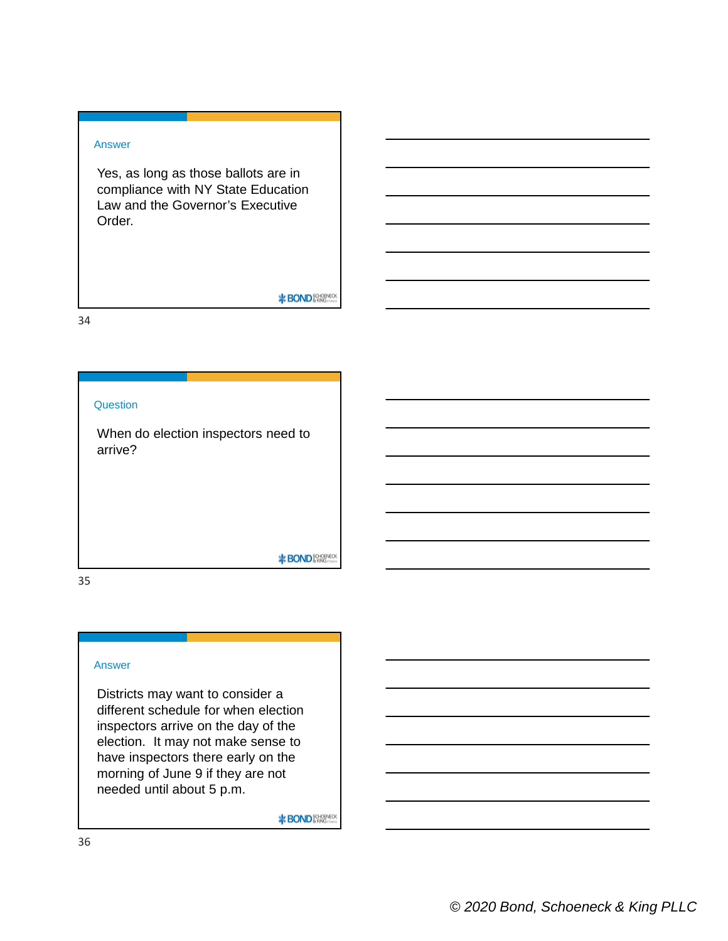# Answer

Yes, as long as those ballots are in compliance with NY State Education Law and the Governor's Executive Order.

**BOND** SCHOPVECK

34

# **Question**

When do election inspectors need to arrive?

**\***BOND<sup>80H0PVECK</sub></sup>

35

## Answer

Districts may want to consider a different schedule for when election inspectors arrive on the day of the election. It may not make sense to have inspectors there early on the morning of June 9 if they are not needed until about 5 p.m.

**\*BOND** SCHOPYECK